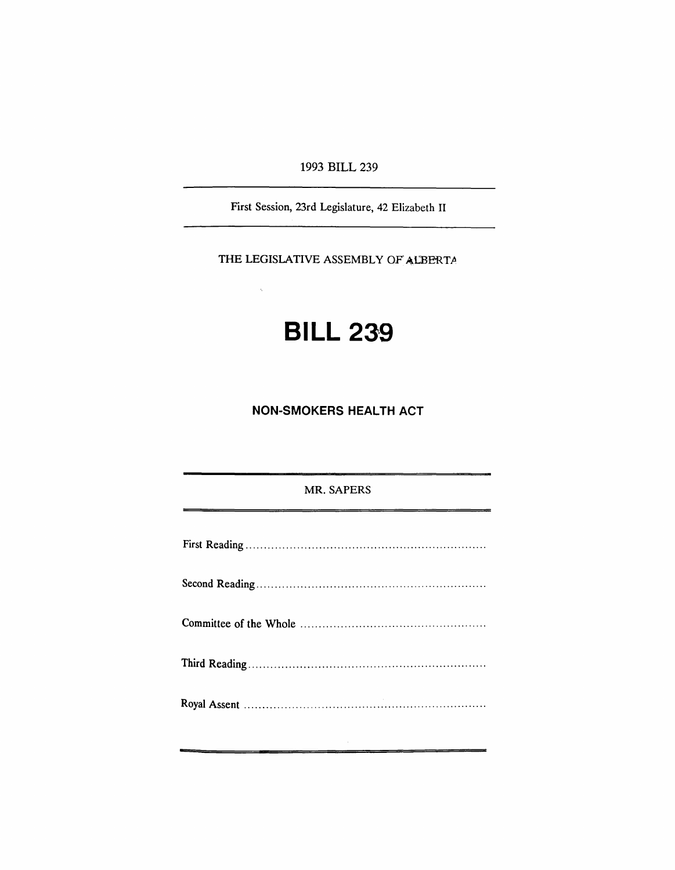1993 BILL 239

First Session, 23rd Legislature, 42 Elizabeth II

THE LEGISLATIVE ASSEMBLY OF ALBERTA

 $\tilde{\lambda}$ 

## **BILL 239**

**NON-SMOKERS HEALTH ACT**

MR. SAPERS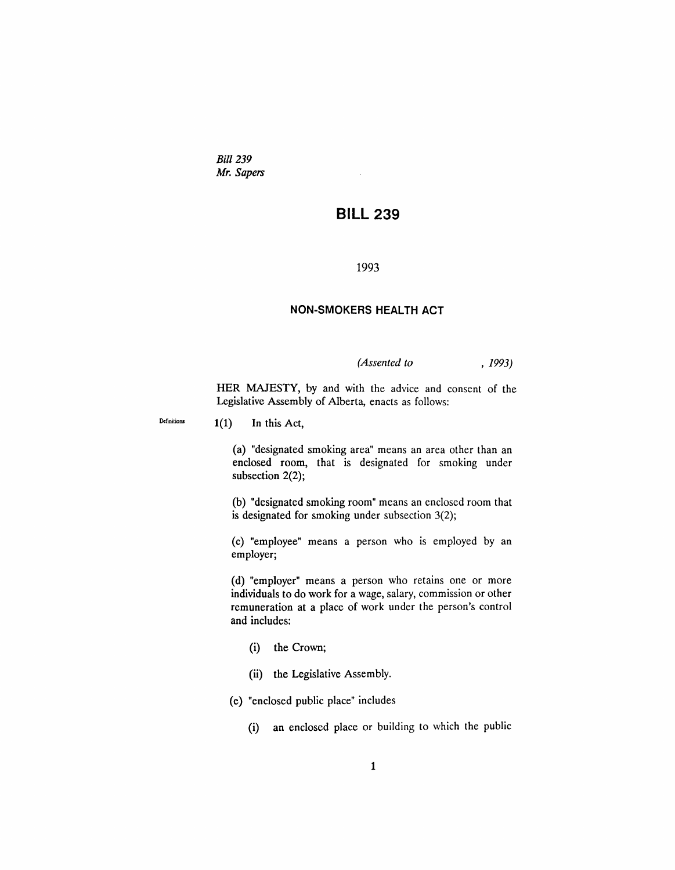*Bill* 239 *Mr. Sapers*

## **BILL 239**

## 1993

## **NON-SMOKERS HEALTH ACT**

*(Assented to* , 1993)

HER MAJESTY, by and with the advice and consent of the Legislative Assembly of Alberta, enacts as follows:

Definitions  $1(1)$  In this Act,

(a) "designated smoking area" means an area other than an enclosed room, that is designated for smoking under subsection 2(2);

(b) "designated smoking room" means an enclosed room that is designated for smoking under subsection 3(2);

(c) "employee" means a person who is employed by an employer;

(d) "employer" means a person who retains one or more individuals to do work for a wage, salary, commission or other remuneration at a place of work under the person's control and includes:

- (i) the Crown;
- (ii) the Legislative Assembly.

(e) "enclosed public place" includes

(i) an enclosed place or building to which the public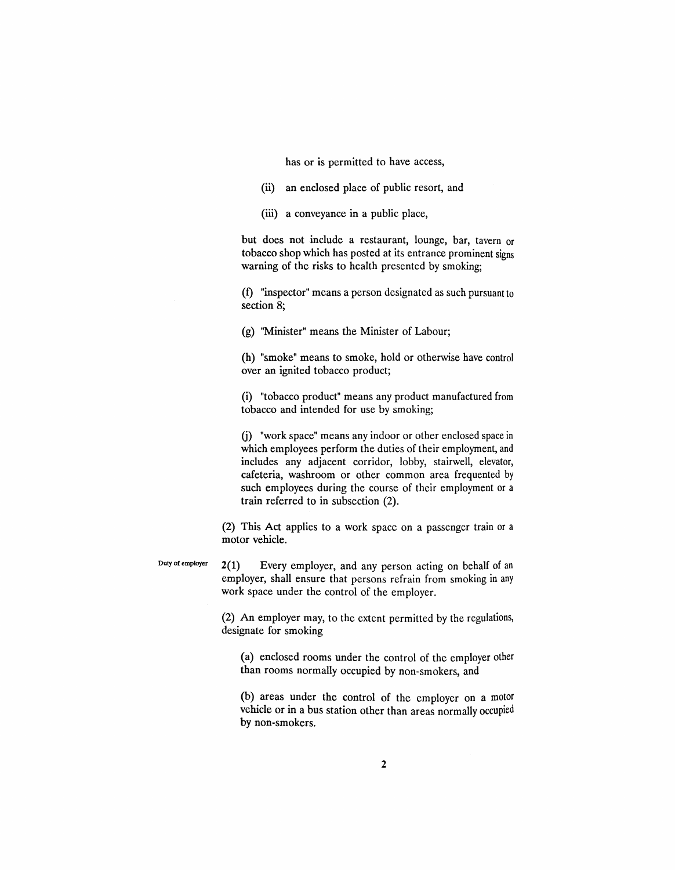has or is permitted to have access,

(ii) an enclosed place of public resort, and

(iii) a conveyance in a public place,

but does not include a restaurant, lounge, bar, tavern or tobacco shop which has posted at its entrance prominent signs warning of the risks to health presented by smoking;

(f) "inspector" means a person designated as such pursuant to section 8;

(g) "Minister" means the Minister of Labour;

(h) "smoke" means to smoke, hold or otherwise have control over an ignited tobacco product;

(i) "tobacco product" means any product manufactured from tobacco and intended for use by smoking;

(j) "work space" means any indoor or other enclosed space in which employees perform the duties of their employment, and includes any adjacent corridor, lobby, stairwell, elevator, cafeteria, washroom or other common area frequented by such employees during the course of their employment or a train referred to in subsection (2).

(2) This Act applies to a work space on a passenger train or a motor vehicle.

Duty of employer  $2(1)$  Every employer, and any person acting on behalf of an employer, shall ensure that persons refrain from smoking in any work space under the control of the employer.

> (2) An employer may, to the extent permitted by the regulations, designate for smoking

(a) enclosed rooms under the control of the employer other than rooms normally occupied by non-smokers, and

(b) areas under the control of the employer on a motor vehicle or in a bus station other than areas normally occupied by non-smokers.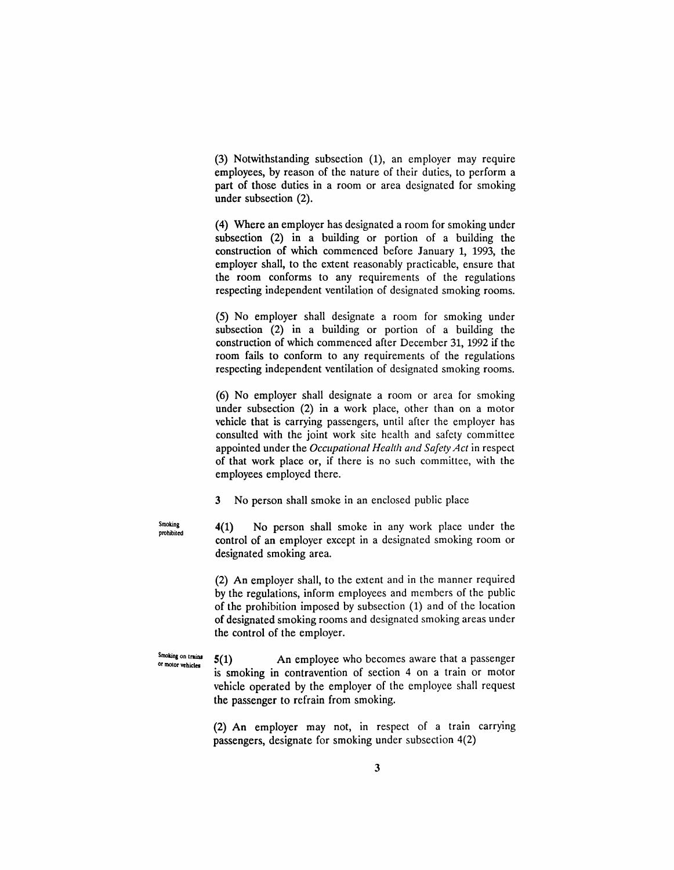(3) Notwithstanding subsection (1), an employer may require employees, by reason of the nature of their duties, to perform a part of those duties in a room or area designated for smoking under subsection (2).

(4) Where an employer has designated a room for smoking under subsection (2) in a building or portion of a building the construction of which commenced before January 1, 1993, the employer shall, to the extent reasonably practicable, ensure that the room conforms to any requirements of the regulations respecting independent ventilation of designated smoking rooms.

(5) No employer shall designate a room for smoking under subsection (2) in a building or portion of a building the construction of which commenced after December 31, 1992 if the room fails to conform to any requirements of the regulations respecting independent ventilation of designated smoking rooms.

(6) No employer shall designate a room or area for smoking under subsection (2) in a work place, other than on a motor vehicle that is carrying passengers, until after the employer has consulted with the joint work site health and safety committee appointed under the *Occupational Health and Safety Act* in respect of that work place or, if there is no such committee, with the employees employed there.

3 No person shall smoke in an enclosed public place

4(1) No person shall smoke in any work place under the control of an employer except in a designated smoking room or designated smoking area.

(2) An employer shall, to the extent and in the manner required by the regulations, inform employees and members of the public of the prohibition imposed by subsection (1) and of the location of designated smoking rooms and designated smoking areas under the control of the employer.

5(1) An employee who becomes aware that a passenger is smoking in contravention of section 4 on a train or motor vehicle operated by the employer of the employee shall request the passenger to refrain from smoking.

(2) An employer may not, in respect of a train carrying passengers, designate for smoking under subsection 4(2)

Smoking prohibited

Smoking on trains or molor vehicles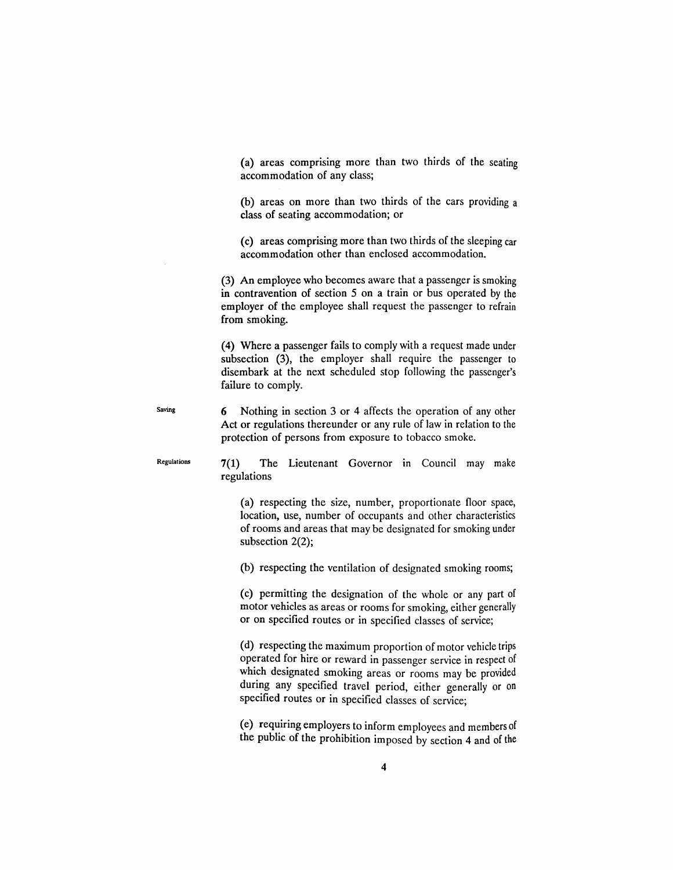(a) areas comprising more than two thirds of the seating accommodation of any class;

(b) areas on more than two thirds of the cars providing a class of seating accommodation; or

(c) areas comprising more than two thirds of the sleeping car accommodation other than enclosed accommodation.

(3) An employee who becomes aware that a passenger is smoking in contravention of section 5 on a train or bus operated by the employer of the employee shall request the passenger to refrain from smoking.

(4) Where a passenger fails to comply with a request made under subsection (3), the employer shall require the passenger to disembark at the next scheduled stop following the passenger's failure to comply.

Saving 6 Nothing in section 3 or 4 affects the operation of any other Act or regulations thereunder or any rule of law in relation to the protection of persons from exposure to tobacco smoke.

Regulations  $7(1)$  The Lieutenant Governor in Council may make regulations

> (a) respecting the size, number, proportionate floor space, location, use, number of occupants and other characteristics of rooms and areas that may be designated for smoking under subsection 2(2);

(b) respecting the ventilation of designated smoking rooms;

(c) permitting the designation of the whole or any part of motor vehicles as areas or rooms for smoking, either generally or on specified routes or in specified classes of service;

(d) respecting the maximurn proportion of motor vehicle trips operated for hire or reward in passenger service in respect of which designated smoking areas or rooms may be provided during any specified travel period, either generally or on specified routes or in specified classes of service;

(e) requiring employers to inform employees and members of the public of the prohibition imposed by section 4 and of the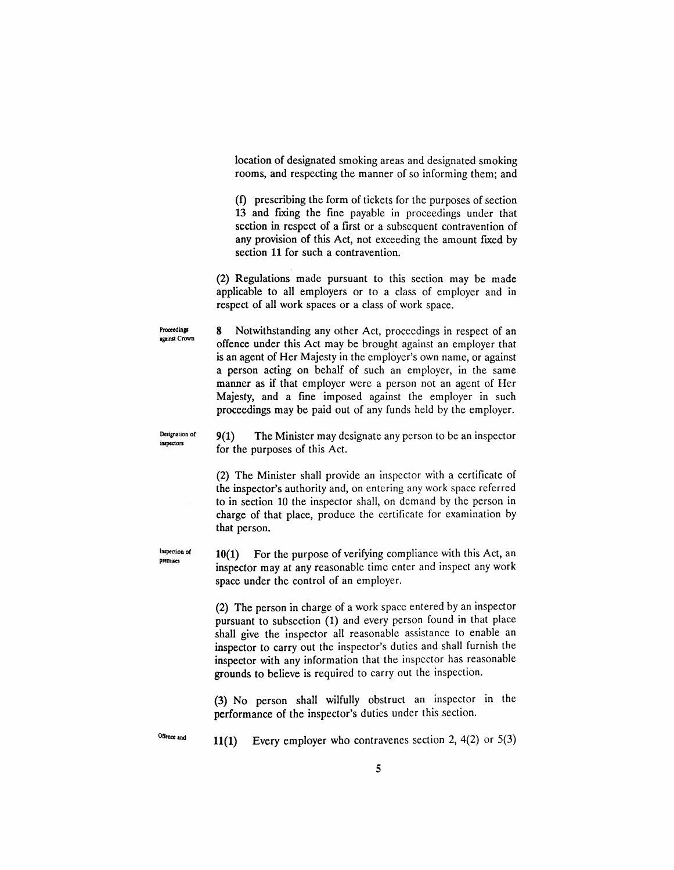location of designated smoking areas and designated smoking rooms, and respecting the manner of so informing them; and

(f) prescribing the form of tickets for the purposes of section 13 and fixing the fine payable in proceedings under that section in respect of a first or a subsequent contravention of any provision of this Act, not exceeding the amount fixed by section 11 for such a contravention.

(2) Regulations made pursuant to this section may be made applicable to all employers or to a class of employer and in respect of all work spaces or a class of work space.

8 Notwithstanding any other Act, proceedings in respect of an offence under this Act may be brought against an employer that is an agent of Her Majesty in the employer's own name, or against a person acting on behalf of such an employer, in the same manner as if that employer were a person not an agent of Her Majesty, and a fine imposed against the employer in such proceedings may be paid out of any funds held by the employer.

Designation of inspectors

Inspection of premises

Proceedings against Crown

> 9(1) The Minister may designate any person to be an inspector for the purposes of this Act.

> (2) The Minister shall provide an inspector with a certificate of the inspector's authority and, on entering any work space referred to in section 10 the inspector shall, on demand by the person in charge of that place, produce the certificate for examination by that person.

10(1) For the purpose of verifying compliance with this Act, an inspector may at any reasonable time enter and inspect any work space under the control of an employer.

(2) The person in charge of a work space entered by an inspector pursuant to subsection (1) and every person found in that place shall give the inspector all reasonable assistance to enable an inspector to carry out the inspector's duties and shall furnish the inspector with any information that the inspector has reasonable grounds to believe is required to carry out the inspection.

(3) No person shall wilfully obstruct an inspector in the performance of the inspector's duties under this section.

Offence and

11(1) Every employer who contravenes section 2,  $4(2)$  or  $5(3)$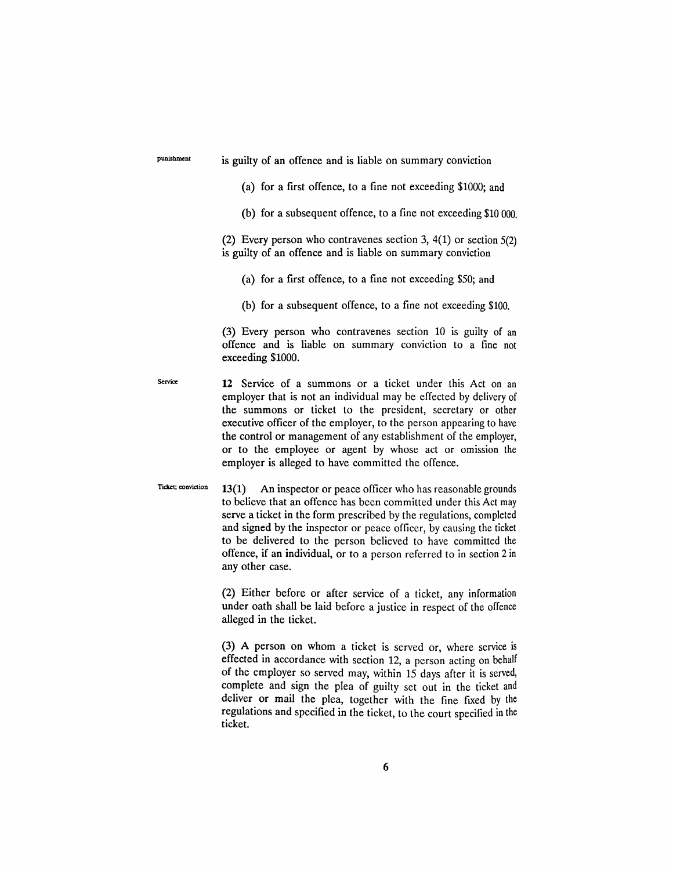punishment is guilty of an offence and is liable on summary conviction

(a) for a first offence, to a fine not exceeding \$1000; and

(b) for a subsequent offence, to a fine not exceeding \$10 000.

(2) Every person who contravenes section 3, 4(1) or section 5(2) is guilty of an offence and is liable on summary conviction

(a) for a first offence, to a fine not exceeding \$50; and

(b) for a subsequent offence, to a fine not exceeding \$100.

(3) Every person who contravenes section 10 is guilty of an offence and is liable on summary conviction to a fine not exceeding \$1000.

Service **12** Service of a summons or a ticket under this Act on an employer that is not an individual may be effected by delivery of the summons or ticket to the president, secretary or other executive officer of the employer, to the person appearing to have the control or management of any establishment of the employer, or to the employee or agent by whose act or omission the employer is alleged to have committed the offence.

Ticket; conviction  $13(1)$  An inspector or peace officer who has reasonable grounds to believe that an offence has been committed under this Act may serve a ticket in the form prescribed by the regulations, completed and signed by the inspector or peace officer, by causing the ticket to be delivered to the person believed to have committed the offence, if an individual, or to a person referred to in section 2 in any other case.

> (2) Either before or after service of a ticket, any information under oath shall be laid before a justice in respect of the offence alleged in the ticket.

> (3) A person on whom a ticket is served or, where service is effected in accordance with section 12, a person acting on behalf of the employer so served may, within 15 days after it is served, complete and sign the plea of guilty set out in the ticket and deliver or mail the plea, together with the fine fixed by the regulations and specified in the ticket, to the court specified in the ticket.